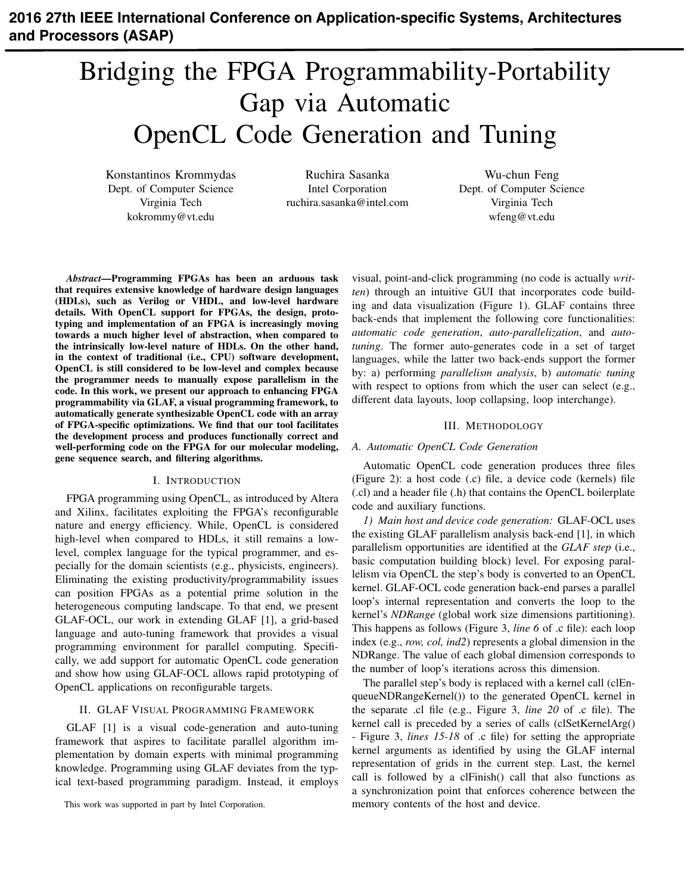# **2016 27th IEEE International Conference on Application-specific Systems, Architectures and Processors (ASAP)**

# Bridging the FPGA Programmability-Portability Gap via Automatic OpenCL Code Generation and Tuning

Konstantinos Krommydas Dept. of Computer Science Virginia Tech kokrommy@vt.edu

Ruchira Sasanka Intel Corporation ruchira.sasanka@intel.com

Wu-chun Feng Dept. of Computer Science Virginia Tech wfeng@vt.edu

*Abstract*—Programming FPGAs has been an arduous task that requires extensive knowledge of hardware design languages (HDLs), such as Verilog or VHDL, and low-level hardware details. With OpenCL support for FPGAs, the design, prototyping and implementation of an FPGA is increasingly moving towards a much higher level of abstraction, when compared to the intrinsically low-level nature of HDLs. On the other hand, in the context of traditional (i.e., CPU) software development, OpenCL is still considered to be low-level and complex because the programmer needs to manually expose parallelism in the code. In this work, we present our approach to enhancing FPGA programmability via GLAF, a visual programming framework, to automatically generate synthesizable OpenCL code with an array of FPGA-specific optimizations. We find that our tool facilitates the development process and produces functionally correct and well-performing code on the FPGA for our molecular modeling, gene sequence search, and filtering algorithms.

#### I. INTRODUCTION

FPGA programming using OpenCL, as introduced by Altera and Xilinx, facilitates exploiting the FPGA's reconfigurable nature and energy efficiency. While, OpenCL is considered high-level when compared to HDLs, it still remains a lowlevel, complex language for the typical programmer, and especially for the domain scientists (e.g., physicists, engineers). Eliminating the existing productivity/programmability issues can position FPGAs as a potential prime solution in the heterogeneous computing landscape. To that end, we present GLAF-OCL, our work in extending GLAF [1], a grid-based language and auto-tuning framework that provides a visual programming environment for parallel computing. Specifically, we add support for automatic OpenCL code generation and show how using GLAF-OCL allows rapid prototyping of OpenCL applications on reconfigurable targets.

#### II. GLAF VISUAL PROGRAMMING FRAMEWORK

GLAF [1] is a visual code-generation and auto-tuning framework that aspires to facilitate parallel algorithm implementation by domain experts with minimal programming knowledge. Programming using GLAF deviates from the typical text-based programming paradigm. Instead, it employs

This work was supported in part by Intel Corporation.

visual, point-and-click programming (no code is actually *written*) through an intuitive GUI that incorporates code building and data visualization (Figure 1). GLAF contains three back-ends that implement the following core functionalities: *automatic code generation*, *auto-parallelization*, and *autotuning*. The former auto-generates code in a set of target languages, while the latter two back-ends support the former by: a) performing *parallelism analysis*, b) *automatic tuning* with respect to options from which the user can select (e.g., different data layouts, loop collapsing, loop interchange).

### III. METHODOLOGY

# *A. Automatic OpenCL Code Generation*

Automatic OpenCL code generation produces three files (Figure 2): a host code (.c) file, a device code (kernels) file (.cl) and a header file (.h) that contains the OpenCL boilerplate code and auxiliary functions.

*1) Main host and device code generation:* GLAF-OCL uses the existing GLAF parallelism analysis back-end [1], in which parallelism opportunities are identified at the *GLAF step* (i.e., basic computation building block) level. For exposing parallelism via OpenCL the step's body is converted to an OpenCL kernel. GLAF-OCL code generation back-end parses a parallel loop's internal representation and converts the loop to the kernel's *NDRange* (global work size dimensions partitioning). This happens as follows (Figure 3, *line 6* of .c file): each loop index (e.g., *row, col, ind2*) represents a global dimension in the NDRange. The value of each global dimension corresponds to the number of loop's iterations across this dimension.

The parallel step's body is replaced with a kernel call (clEnqueueNDRangeKernel()) to the generated OpenCL kernel in the separate .cl file (e.g., Figure 3, *line 20* of .c file). The kernel call is preceded by a series of calls (clSetKernelArg() - Figure 3, *lines 15-18* of .c file) for setting the appropriate kernel arguments as identified by using the GLAF internal representation of grids in the current step. Last, the kernel call is followed by a clFinish() call that also functions as a synchronization point that enforces coherence between the memory contents of the host and device.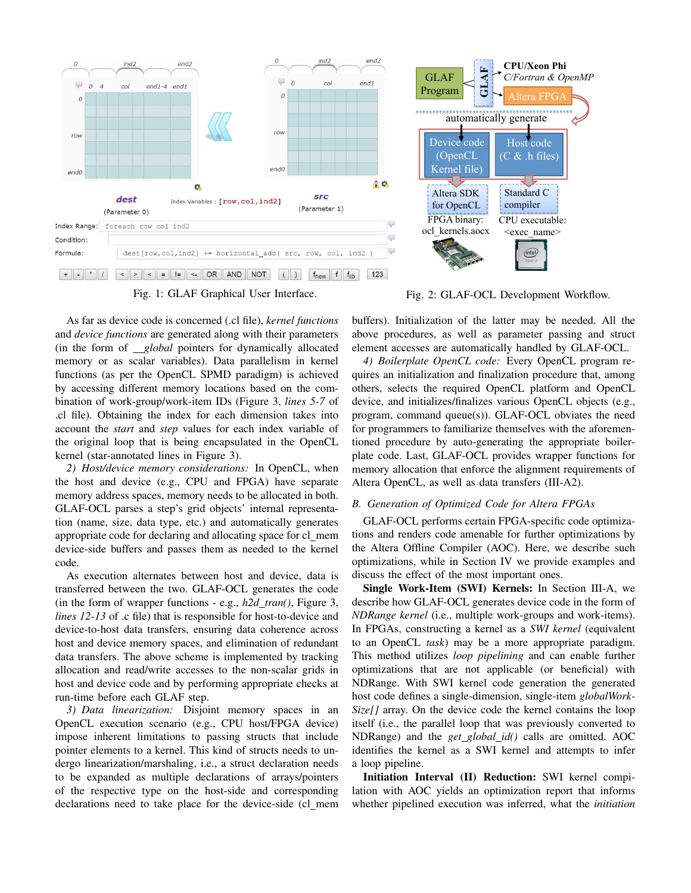

Fig. 1: GLAF Graphical User Interface.

As far as device code is concerned (.cl file), *kernel functions* and *device functions* are generated along with their parameters (in the form of *global* pointers for dynamically allocated memory or as scalar variables). Data parallelism in kernel functions (as per the OpenCL SPMD paradigm) is achieved by accessing different memory locations based on the combination of work-group/work-item IDs (Figure 3, *lines 5-7* of .cl file). Obtaining the index for each dimension takes into account the *start* and *step* values for each index variable of the original loop that is being encapsulated in the OpenCL kernel (star-annotated lines in Figure 3).

*2) Host/device memory considerations:* In OpenCL, when the host and device (e.g., CPU and FPGA) have separate memory address spaces, memory needs to be allocated in both. GLAF-OCL parses a step's grid objects' internal representation (name, size, data type, etc.) and automatically generates appropriate code for declaring and allocating space for cl mem device-side buffers and passes them as needed to the kernel code.

As execution alternates between host and device, data is transferred between the two. GLAF-OCL generates the code (in the form of wrapper functions - e.g., *h2d tran()*, Figure 3, *lines 12-13* of .c file) that is responsible for host-to-device and device-to-host data transfers, ensuring data coherence across host and device memory spaces, and elimination of redundant data transfers. The above scheme is implemented by tracking allocation and read/write accesses to the non-scalar grids in host and device code and by performing appropriate checks at run-time before each GLAF step.

*3) Data linearization:* Disjoint memory spaces in an OpenCL execution scenario (e.g., CPU host/FPGA device) impose inherent limitations to passing structs that include pointer elements to a kernel. This kind of structs needs to undergo linearization/marshaling, i.e., a struct declaration needs to be expanded as multiple declarations of arrays/pointers of the respective type on the host-side and corresponding declarations need to take place for the device-side (cl mem



Fig. 2: GLAF-OCL Development Workflow.

buffers). Initialization of the latter may be needed. All the above procedures, as well as parameter passing and struct element accesses are automatically handled by GLAF-OCL.

*4) Boilerplate OpenCL code:* Every OpenCL program requires an initialization and finalization procedure that, among others, selects the required OpenCL platform and OpenCL device, and initializes/finalizes various OpenCL objects (e.g., program, command queue(s)). GLAF-OCL obviates the need for programmers to familiarize themselves with the aforementioned procedure by auto-generating the appropriate boilerplate code. Last, GLAF-OCL provides wrapper functions for memory allocation that enforce the alignment requirements of Altera OpenCL, as well as data transfers (III-A2).

# *B. Generation of Optimized Code for Altera FPGAs*

GLAF-OCL performs certain FPGA-specific code optimizations and renders code amenable for further optimizations by the Altera Offline Compiler (AOC). Here, we describe such optimizations, while in Section IV we provide examples and discuss the effect of the most important ones.

Single Work-Item (SWI) Kernels: In Section III-A, we describe how GLAF-OCL generates device code in the form of *NDRange kernel* (i.e., multiple work-groups and work-items). In FPGAs, constructing a kernel as a *SWI kernel* (equivalent to an OpenCL *task*) may be a more appropriate paradigm. This method utilizes *loop pipelining* and can enable further optimizations that are not applicable (or beneficial) with NDRange. With SWI kernel code generation the generated host code defines a single-dimension, single-item *globalWork-Size[]* array. On the device code the kernel contains the loop itself (i.e., the parallel loop that was previously converted to NDRange) and the *get global id()* calls are omitted. AOC identifies the kernel as a SWI kernel and attempts to infer a loop pipeline.

Initiation Interval (II) Reduction: SWI kernel compilation with AOC yields an optimization report that informs whether pipelined execution was inferred, what the *initiation*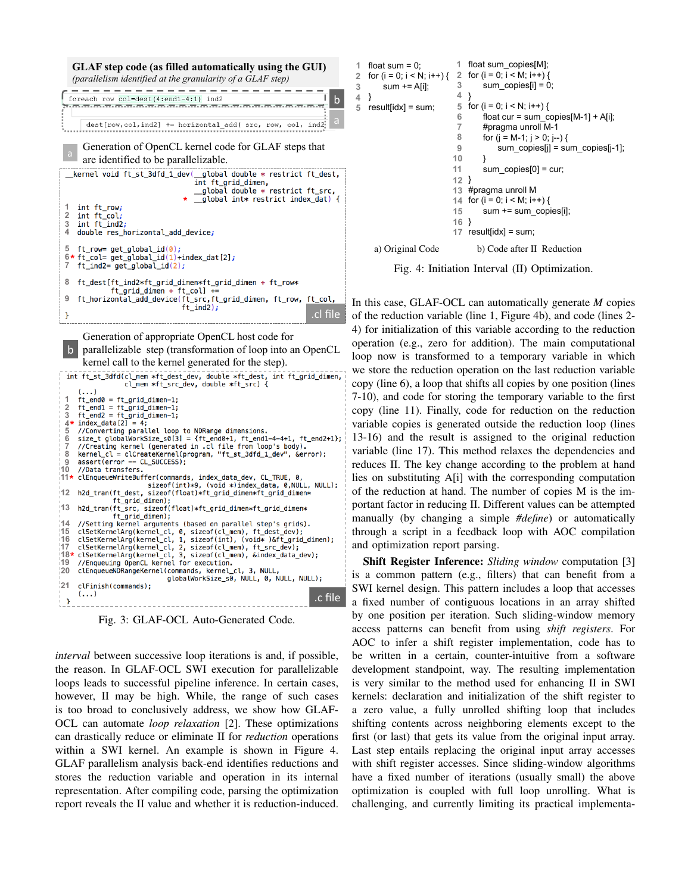

Fig. 3: GLAF-OCL Auto-Generated Code.

*interval* between successive loop iterations is and, if possible, the reason. In GLAF-OCL SWI execution for parallelizable loops leads to successful pipeline inference. In certain cases, however, II may be high. While, the range of such cases is too broad to conclusively address, we show how GLAF-OCL can automate *loop relaxation* [2]. These optimizations can drastically reduce or eliminate II for *reduction* operations within a SWI kernel. An example is shown in Figure 4. GLAF parallelism analysis back-end identifies reductions and stores the reduction variable and operation in its internal representation. After compiling code, parsing the optimization report reveals the II value and whether it is reduction-induced.

```
float sum = 0:
  for (i = 0; i < N; i++) {
       sum += A[i];
} 
4 
  resultlidx1 = sum:
                            float sum_copies[M]; 
1 
                              for (i = 0; i < M; i++) {
                                   sum copies[i] = 0;
                              } 
                              for (i = 0; i < N; i++) {
                                  float cur = sum\_copies[M-1] + A[i]; #pragma unroll M-1 
                                   for (j = M-1; j > 0; j-) {
                                        sum_copies[j] = sum_copies[j-1]; 
                                   } 
                                   sum_copies[0] = cur;
                           } 
12 
                              #pragma unroll M 
                           for (i = 0; i < M; i++) { 
14 
                                    sum += sum_copies[i]; 
                           } 
16 
                           17 result[idx] = sum;2 
                           3 
                           4 
                            5 
                           6 
                           7 
                           8 
                           9 
                          10 
                          11 
                          13 
                          15 
    a) Original Code b) Code after II Reduction
```
Fig. 4: Initiation Interval (II) Optimization.

In this case, GLAF-OCL can automatically generate *M* copies of the reduction variable (line 1, Figure 4b), and code (lines 2- 4) for initialization of this variable according to the reduction operation (e.g., zero for addition). The main computational loop now is transformed to a temporary variable in which we store the reduction operation on the last reduction variable copy (line 6), a loop that shifts all copies by one position (lines 7-10), and code for storing the temporary variable to the first copy (line 11). Finally, code for reduction on the reduction variable copies is generated outside the reduction loop (lines 13-16) and the result is assigned to the original reduction variable (line 17). This method relaxes the dependencies and reduces II. The key change according to the problem at hand lies on substituting A[i] with the corresponding computation of the reduction at hand. The number of copies M is the important factor in reducing II. Different values can be attempted manually (by changing a simple *#define*) or automatically through a script in a feedback loop with AOC compilation and optimization report parsing.

Shift Register Inference: *Sliding window* computation [3] is a common pattern (e.g., filters) that can benefit from a SWI kernel design. This pattern includes a loop that accesses a fixed number of contiguous locations in an array shifted by one position per iteration. Such sliding-window memory access patterns can benefit from using *shift registers*. For AOC to infer a shift register implementation, code has to be written in a certain, counter-intuitive from a software development standpoint, way. The resulting implementation is very similar to the method used for enhancing II in SWI kernels: declaration and initialization of the shift register to a zero value, a fully unrolled shifting loop that includes shifting contents across neighboring elements except to the first (or last) that gets its value from the original input array. Last step entails replacing the original input array accesses with shift register accesses. Since sliding-window algorithms have a fixed number of iterations (usually small) the above optimization is coupled with full loop unrolling. What is challenging, and currently limiting its practical implementa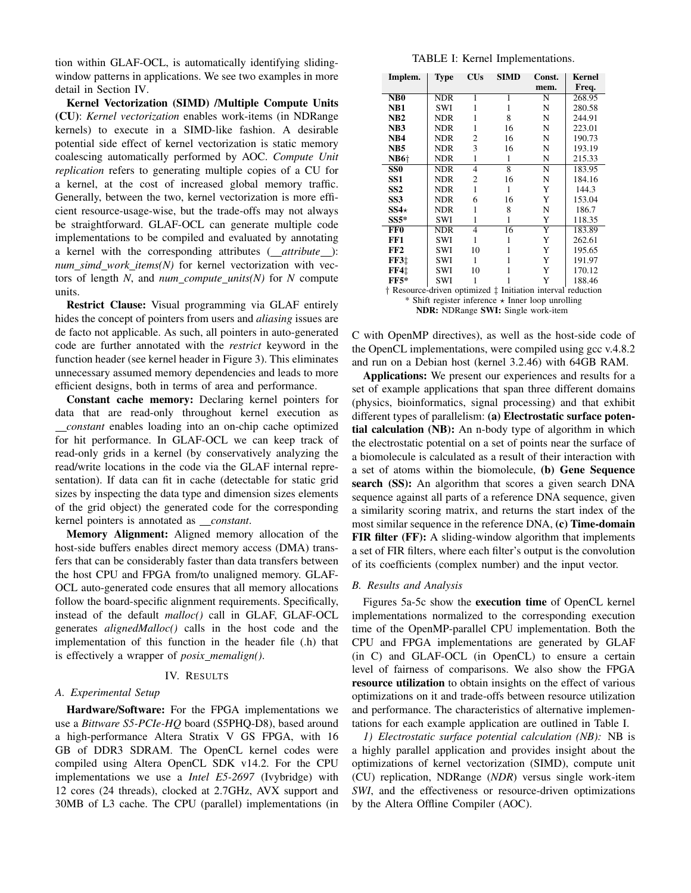tion within GLAF-OCL, is automatically identifying slidingwindow patterns in applications. We see two examples in more detail in Section IV.

Kernel Vectorization (SIMD) /Multiple Compute Units (CU): *Kernel vectorization* enables work-items (in NDRange kernels) to execute in a SIMD-like fashion. A desirable potential side effect of kernel vectorization is static memory coalescing automatically performed by AOC. *Compute Unit replication* refers to generating multiple copies of a CU for a kernel, at the cost of increased global memory traffic. Generally, between the two, kernel vectorization is more efficient resource-usage-wise, but the trade-offs may not always be straightforward. GLAF-OCL can generate multiple code implementations to be compiled and evaluated by annotating a kernel with the corresponding attributes ( *attribute* ): *num simd work items(N)* for kernel vectorization with vectors of length *N*, and *num compute units(N)* for *N* compute units.

Restrict Clause: Visual programming via GLAF entirely hides the concept of pointers from users and *aliasing* issues are de facto not applicable. As such, all pointers in auto-generated code are further annotated with the *restrict* keyword in the function header (see kernel header in Figure 3). This eliminates unnecessary assumed memory dependencies and leads to more efficient designs, both in terms of area and performance.

Constant cache memory: Declaring kernel pointers for data that are read-only throughout kernel execution as *constant* enables loading into an on-chip cache optimized for hit performance. In GLAF-OCL we can keep track of read-only grids in a kernel (by conservatively analyzing the read/write locations in the code via the GLAF internal representation). If data can fit in cache (detectable for static grid sizes by inspecting the data type and dimension sizes elements of the grid object) the generated code for the corresponding kernel pointers is annotated as *constant*.

Memory Alignment: Aligned memory allocation of the host-side buffers enables direct memory access (DMA) transfers that can be considerably faster than data transfers between the host CPU and FPGA from/to unaligned memory. GLAF-OCL auto-generated code ensures that all memory allocations follow the board-specific alignment requirements. Specifically, instead of the default *malloc()* call in GLAF, GLAF-OCL generates *alignedMalloc()* calls in the host code and the implementation of this function in the header file (.h) that is effectively a wrapper of *posix memalign()*.

# IV. RESULTS

#### *A. Experimental Setup*

Hardware/Software: For the FPGA implementations we use a *Bittware S5-PCIe-HQ* board (S5PHQ-D8), based around a high-performance Altera Stratix V GS FPGA, with 16 GB of DDR3 SDRAM. The OpenCL kernel codes were compiled using Altera OpenCL SDK v14.2. For the CPU implementations we use a *Intel E5-2697* (Ivybridge) with 12 cores (24 threads), clocked at 2.7GHz, AVX support and 30MB of L3 cache. The CPU (parallel) implementations (in

TABLE I: Kernel Implementations.

| Implem.                                                     | <b>Type</b> | CUs | <b>SIMD</b>    | Const.             | Kernel |
|-------------------------------------------------------------|-------------|-----|----------------|--------------------|--------|
|                                                             |             |     |                | mem.               | Freq.  |
| NB <sub>0</sub>                                             | <b>NDR</b>  | 1   | 1              | N                  | 268.95 |
| NB1                                                         | <b>SWI</b>  | 1   | 1              | N                  | 280.58 |
| NB2                                                         | NDR         | 1   | 8              | N                  | 244.91 |
| NB <sub>3</sub>                                             | NDR         | 1   | 16             | N                  | 223.01 |
| NB4                                                         | NDR         | 2   | 16             | N                  | 190.73 |
| NB <sub>5</sub>                                             | NDR         | 3   | 16             | N                  | 193.19 |
| <b>NB6+</b>                                                 | <b>NDR</b>  | 1   | 1              | N                  | 215.33 |
| SS0                                                         | NDR         | 4   | $\overline{8}$ | $\overline{\rm N}$ | 183.95 |
| SS1                                                         | NDR         | 2   | 16             | N                  | 184.16 |
| SS2                                                         | NDR         | 1   | 1              | Y                  | 144.3  |
| SS3                                                         | NDR         | 6   | 16             | Y                  | 153.04 |
| $SS4\star$                                                  | NDR         | 1   | 8              | N                  | 186.7  |
| $SS5*$                                                      | SWI         | 1   | 1              | Y                  | 118.35 |
| FF <sub>0</sub>                                             | NDR         | 4   | 16             | Y                  | 183.89 |
| FF1                                                         | SWI         | 1   | 1              | Y                  | 262.61 |
| FF2                                                         | SWI         | 10  | 1              | Y                  | 195.65 |
| <b>FF3</b> <sup>+</sup>                                     | SWI         | 1   | 1              | Y                  | 191.97 |
| FF4t                                                        | SWI         | 10  |                | Y                  | 170.12 |
| $FF5*$                                                      | <b>SWI</b>  |     |                | Y                  | 188.46 |
| † Resource-driven optimized † Initiation interval reduction |             |     |                |                    |        |
| * Shift register inference $\star$ Inner loop unrolling     |             |     |                |                    |        |

NDR: NDRange SWI: Single work-item

C with OpenMP directives), as well as the host-side code of the OpenCL implementations, were compiled using gcc v.4.8.2 and run on a Debian host (kernel 3.2.46) with 64GB RAM.

Applications: We present our experiences and results for a set of example applications that span three different domains (physics, bioinformatics, signal processing) and that exhibit different types of parallelism: (a) Electrostatic surface potential calculation (NB): An n-body type of algorithm in which the electrostatic potential on a set of points near the surface of a biomolecule is calculated as a result of their interaction with a set of atoms within the biomolecule, (b) Gene Sequence search (SS): An algorithm that scores a given search DNA sequence against all parts of a reference DNA sequence, given a similarity scoring matrix, and returns the start index of the most similar sequence in the reference DNA, (c) Time-domain FIR filter (FF): A sliding-window algorithm that implements a set of FIR filters, where each filter's output is the convolution of its coefficients (complex number) and the input vector.

#### *B. Results and Analysis*

Figures 5a-5c show the execution time of OpenCL kernel implementations normalized to the corresponding execution time of the OpenMP-parallel CPU implementation. Both the CPU and FPGA implementations are generated by GLAF (in C) and GLAF-OCL (in OpenCL) to ensure a certain level of fairness of comparisons. We also show the FPGA resource utilization to obtain insights on the effect of various optimizations on it and trade-offs between resource utilization and performance. The characteristics of alternative implementations for each example application are outlined in Table I.

*1) Electrostatic surface potential calculation (NB):* NB is a highly parallel application and provides insight about the optimizations of kernel vectorization (SIMD), compute unit (CU) replication, NDRange (*NDR*) versus single work-item *SWI*, and the effectiveness or resource-driven optimizations by the Altera Offline Compiler (AOC).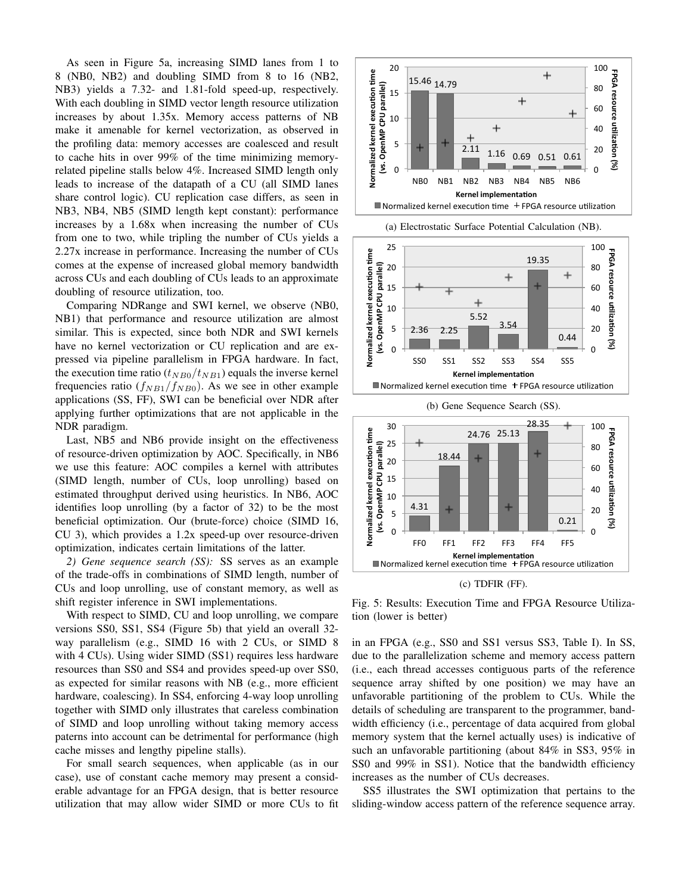As seen in Figure 5a, increasing SIMD lanes from 1 to 8 (NB0, NB2) and doubling SIMD from 8 to 16 (NB2, NB3) yields a 7.32- and 1.81-fold speed-up, respectively. With each doubling in SIMD vector length resource utilization increases by about 1.35x. Memory access patterns of NB make it amenable for kernel vectorization, as observed in the profiling data: memory accesses are coalesced and result to cache hits in over 99% of the time minimizing memoryrelated pipeline stalls below 4%. Increased SIMD length only leads to increase of the datapath of a CU (all SIMD lanes share control logic). CU replication case differs, as seen in NB3, NB4, NB5 (SIMD length kept constant): performance increases by a 1.68x when increasing the number of CUs from one to two, while tripling the number of CUs yields a 2.27x increase in performance. Increasing the number of CUs comes at the expense of increased global memory bandwidth across CUs and each doubling of CUs leads to an approximate doubling of resource utilization, too.

Comparing NDRange and SWI kernel, we observe (NB0, NB1) that performance and resource utilization are almost similar. This is expected, since both NDR and SWI kernels have no kernel vectorization or CU replication and are expressed via pipeline parallelism in FPGA hardware. In fact, the execution time ratio  $(t_{NBO}/t_{NB1})$  equals the inverse kernel frequencies ratio  $(f_{NB1}/f_{NB0})$ . As we see in other example applications (SS, FF), SWI can be beneficial over NDR after applying further optimizations that are not applicable in the NDR paradigm.

Last, NB5 and NB6 provide insight on the effectiveness of resource-driven optimization by AOC. Specifically, in NB6 we use this feature: AOC compiles a kernel with attributes (SIMD length, number of CUs, loop unrolling) based on estimated throughput derived using heuristics. In NB6, AOC identifies loop unrolling (by a factor of 32) to be the most beneficial optimization. Our (brute-force) choice (SIMD 16, CU 3), which provides a 1.2x speed-up over resource-driven optimization, indicates certain limitations of the latter.

*2) Gene sequence search (SS):* SS serves as an example of the trade-offs in combinations of SIMD length, number of CUs and loop unrolling, use of constant memory, as well as shift register inference in SWI implementations.

With respect to SIMD, CU and loop unrolling, we compare versions SS0, SS1, SS4 (Figure 5b) that yield an overall 32 way parallelism (e.g., SIMD 16 with 2 CUs, or SIMD 8 with 4 CUs). Using wider SIMD (SS1) requires less hardware resources than SS0 and SS4 and provides speed-up over SS0, as expected for similar reasons with NB (e.g., more efficient hardware, coalescing). In SS4, enforcing 4-way loop unrolling together with SIMD only illustrates that careless combination of SIMD and loop unrolling without taking memory access paterns into account can be detrimental for performance (high cache misses and lengthy pipeline stalls).

For small search sequences, when applicable (as in our case), use of constant cache memory may present a considerable advantage for an FPGA design, that is better resource utilization that may allow wider SIMD or more CUs to fit



(a) Electrostatic Surface Potential Calculation (NB).





Fig. 5: Results: Execution Time and FPGA Resource Utilization (lower is better)

in an FPGA (e.g., SS0 and SS1 versus SS3, Table I). In SS, due to the parallelization scheme and memory access pattern (i.e., each thread accesses contiguous parts of the reference sequence array shifted by one position) we may have an unfavorable partitioning of the problem to CUs. While the details of scheduling are transparent to the programmer, bandwidth efficiency (i.e., percentage of data acquired from global memory system that the kernel actually uses) is indicative of such an unfavorable partitioning (about 84% in SS3, 95% in SS0 and 99% in SS1). Notice that the bandwidth efficiency increases as the number of CUs decreases.

SS5 illustrates the SWI optimization that pertains to the sliding-window access pattern of the reference sequence array.